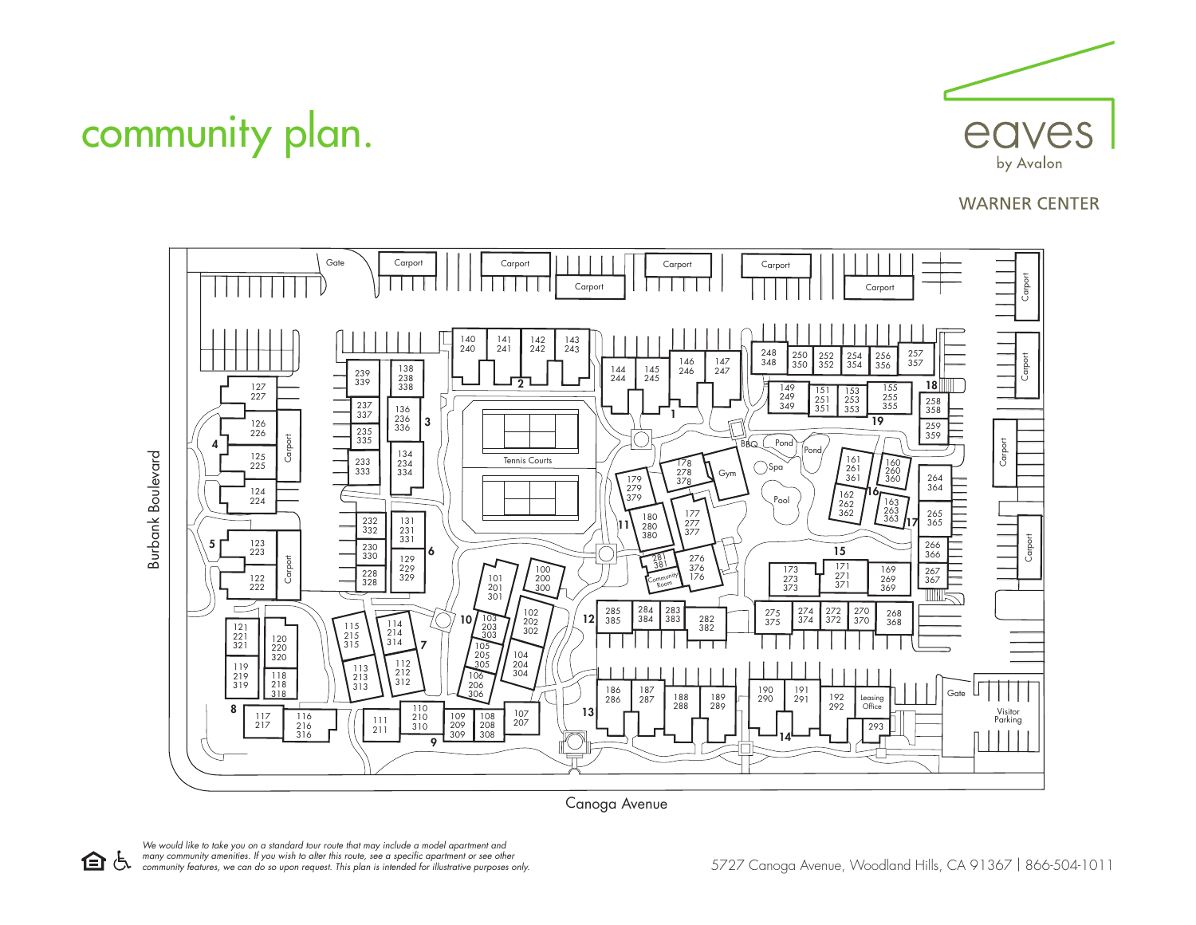

## **WARNER CENTER**



Canoga Avenue

community plan.